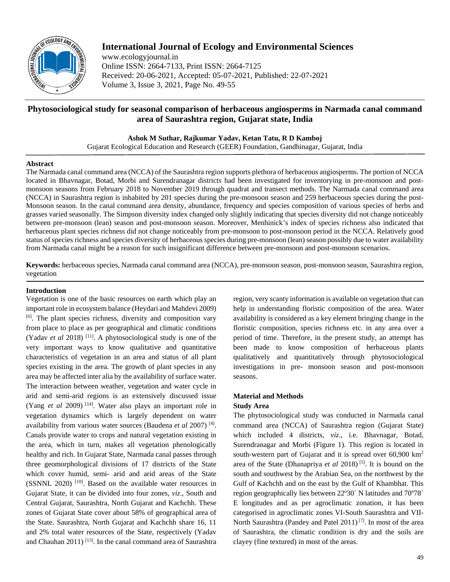

# **International Journal of Ecology and Environmental Sciences**

www.ecologyjournal.in Online ISSN: 2664-7133, Print ISSN: 2664-7125 Received: 20-06-2021, Accepted: 05-07-2021, Published: 22-07-2021 Volume 3, Issue 3, 2021, Page No. 49-55

# **Phytosociological study for seasonal comparison of herbaceous angiosperms in Narmada canal command area of Saurashtra region, Gujarat state, India**

**Ashok M Suthar, Rajkumar Yadav, Ketan Tatu, R D Kamboj**

Gujarat Ecological Education and Research (GEER) Foundation, Gandhinagar, Gujarat, India

## **Abstract**

The Narmada canal command area (NCCA) of the Saurashtra region supports plethora of herbaceous angiosperms. The portion of NCCA located in Bhavnagar, Botad, Morbi and Surendranagar districts had been investigated for inventorying in pre-monsoon and postmonsoon seasons from February 2018 to November 2019 through quadrat and transect methods. The Narmada canal command area (NCCA) in Saurashtra region is inhabited by 201 species during the pre-monsoon season and 259 herbaceous species during the post-Monsoon season. In the canal command area density, abundance, frequency and species composition of various species of herbs and grasses varied seasonally. The Simpson diversity index changed only slightly indicating that species diversity did not change noticeably between pre-monsoon (lean) season and post-monsoon season. Moreover, Menhinick's index of species richness also indicated that herbaceous plant species richness did not change noticeably from pre-monsoon to post-monsoon period in the NCCA. Relatively good status of species richness and species diversity of herbaceous species during pre-monsoon (lean) season possibly due to water availability from Narmada canal might be a reason for such insignificant difference between pre-monsoon and post-monsoon scenarios.

**Keywords:** herbaceous species, Narmada canal command area (NCCA), pre-monsoon season, post-monsoon season, Saurashtra region, vegetation

## **Introduction**

Vegetation is one of the basic resources on earth which play an important role in ecosystem balance (Heydari and Mahdevi 2009) [6] . The plant species richness, diversity and composition vary from place to place as per geographical and climatic conditions (Yadav *et al* 2018) [11] . A phytosociological study is one of the very important ways to know qualitative and quantitative characteristics of vegetation in an area and status of all plant species existing in the area. The growth of plant species in any area may be affected inter alia by the availability of surface water. The interaction between weather, vegetation and water cycle in arid and semi-arid regions is an extensively discussed issue (Yang *et al* 2009) [14] . Water also plays an important role in vegetation dynamics which is largely dependent on water availability from various water sources (Baudena *et al* 2007) [4] . Canals provide water to crops and natural vegetation existing in the area, which in turn, makes all vegetation phenologically healthy and rich. In Gujarat State, Narmada canal passes through three geomorphological divisions of 17 districts of the State which cover humid, semi- arid and arid areas of the State (SSNNL 2020)<sup>[10]</sup>. Based on the available water resources in Gujarat State, it can be divided into four zones, *viz*., South and Central Gujarat, Saurashtra, North Gujarat and Kachchh. These zones of Gujarat State cover about 58% of geographical area of the State. Saurashtra, North Gujarat and Kachchh share 16, 11 and 2% total water resources of the State, respectively (Yadav and Chauhan 2011)<sup>[13]</sup>. In the canal command area of Saurashtra

region, very scanty information is available on vegetation that can help in understanding floristic composition of the area. Water availability is considered as a key element bringing change in the floristic composition, species richness etc. in any area over a period of time. Therefore, in the present study, an attempt has been made to know composition of herbaceous plants qualitatively and quantitatively through phytosociological investigations in pre- monsoon season and post-monsoon seasons.

# **Material and Methods**

# **Study Area**

The phytosociological study was conducted in Narmada canal command area (NCCA) of Saurashtra region (Gujarat State) which included 4 districts, *viz*., i.e. Bhavnagar, Botad, Surendranagar and Morbi (Figure 1). This region is located in south-western part of Gujarat and it is spread over 60,900 km<sup>2</sup> area of the State (Dhanapriya *et al* 2018) [5] . It is bound on the south and southwest by the Arabian Sea, on the northwest by the Gulf of Kachchh and on the east by the Gulf of Khambhat. This region geographically lies between 22º30´ N latitudes and 70º78´ E longitudes and as per agroclimatic zonation, it has been categorised in agroclimatic zones VI-South Saurashtra and VII-North Saurashtra (Pandey and Patel 2011)<sup>[7]</sup>. In most of the area of Saurashtra, the climatic condition is dry and the soils are clayey (fine textured) in most of the areas.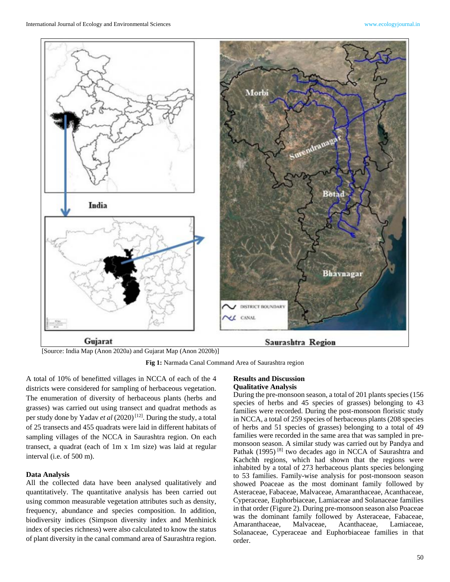

[Source: India Map (Anon 2020a) and Gujarat Map (Anon 2020b)]

**Fig 1:** Narmada Canal Command Area of Saurashtra region

A total of 10% of benefitted villages in NCCA of each of the 4 districts were considered for sampling of herbaceous vegetation. The enumeration of diversity of herbaceous plants (herbs and grasses) was carried out using transect and quadrat methods as per study done by Yadav et al (2020)<sup>[12]</sup>. During the study, a total of 25 transects and 455 quadrats were laid in different habitats of sampling villages of the NCCA in Saurashtra region. On each transect, a quadrat (each of 1m x 1m size) was laid at regular interval (i.e. of 500 m).

#### **Data Analysis**

All the collected data have been analysed qualitatively and quantitatively. The quantitative analysis has been carried out using common measurable vegetation attributes such as density, frequency, abundance and species composition. In addition, biodiversity indices (Simpson diversity index and Menhinick index of species richness) were also calculated to know the status of plant diversity in the canal command area of Saurashtra region.

### **Results and Discussion Qualitative Analysis**

During the pre-monsoon season, a total of 201 plants species (156 species of herbs and 45 species of grasses) belonging to 43 families were recorded. During the post-monsoon floristic study in NCCA, a total of 259 species of herbaceous plants (208 species of herbs and 51 species of grasses) belonging to a total of 49 families were recorded in the same area that was sampled in premonsoon season. A similar study was carried out by Pandya and Pathak (1995)<sup>[8]</sup> two decades ago in NCCA of Saurashtra and Kachchh regions, which had shown that the regions were inhabited by a total of 273 herbaceous plants species belonging to 53 families. Family-wise analysis for post-monsoon season showed Poaceae as the most dominant family followed by Asteraceae, Fabaceae, Malvaceae, Amaranthaceae, Acanthaceae, Cyperaceae, Euphorbiaceae, Lamiaceae and Solanaceae families in that order (Figure 2). During pre-monsoon season also Poaceae was the dominant family followed by Asteraceae, Fabaceae, Amaranthaceae, Malvaceae, Acanthaceae, Lamiaceae, Solanaceae, Cyperaceae and Euphorbiaceae families in that order.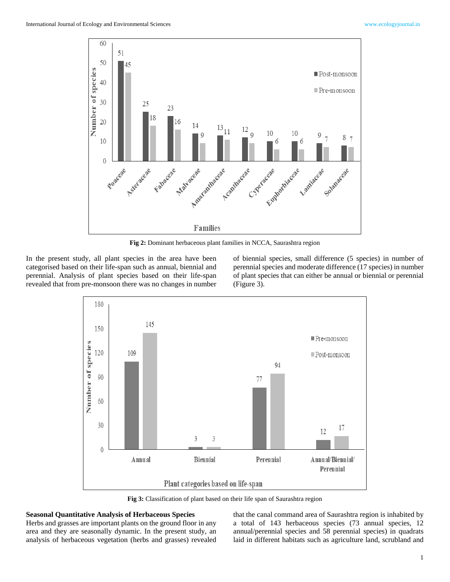

**Fig 2:** Dominant herbaceous plant families in NCCA, Saurashtra region

In the present study, all plant species in the area have been categorised based on their life-span such as annual, biennial and perennial. Analysis of plant species based on their life-span revealed that from pre-monsoon there was no changes in number

of biennial species, small difference (5 species) in number of perennial species and moderate difference (17 species) in number of plant species that can either be annual or biennial or perennial (Figure 3).



**Fig 3:** Classification of plant based on their life span of Saurashtra region

## **Seasonal Quantitative Analysis of Herbaceous Species**

Herbs and grasses are important plants on the ground floor in any area and they are seasonally dynamic. In the present study, an analysis of herbaceous vegetation (herbs and grasses) revealed

that the canal command area of Saurashtra region is inhabited by a total of 143 herbaceous species (73 annual species, 12 annual/perennial species and 58 perennial species) in quadrats laid in different habitats such as agriculture land, scrubland and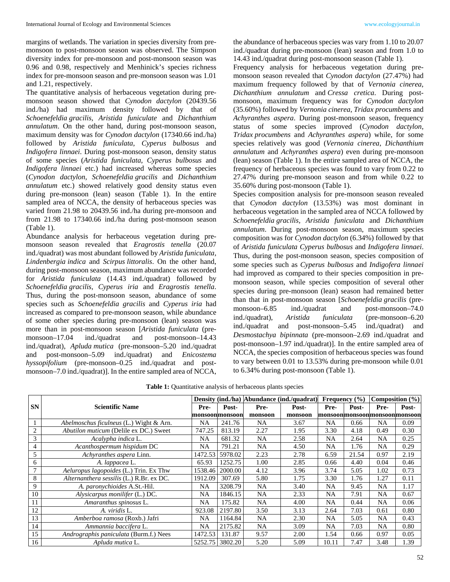margins of wetlands. The variation in species diversity from premonsoon to post-monsoon season was observed. The Simpson diversity index for pre-monsoon and post-monsoon season was 0.96 and 0.98, respectively and Menhinick's species richness index for pre-monsoon season and pre-monsoon season was 1.01 and 1.21, respectively.

The quantitative analysis of herbaceous vegetation during premonsoon season showed that *Cynodon dactylon* (20439.56 ind./ha) had maximum density followed by that of *Schoenefeldia gracilis, Aristida funiculate* and *Dichanthium annulatum*. On the other hand, during post-monsoon season, maximum density was for *Cynodon dactylon* (17340.66 ind./ha) followed by *Aristida funiculata*, *Cyperus bulbosus* and *Indigofera linnaei*. During post-monsoon season, density status of some species (*Aristida funiculata*, *Cyperus bulbosus* and *Indigofera linnaei* etc.) had increased whereas some species (*Cynodon dactylon*, *Schoenefeldia gracilis* and *Dichanthium annulatum* etc.) showed relatively good density status even during pre-monsoon (lean) season (Table 1). In the entire sampled area of NCCA, the density of herbaceous species was varied from 21.98 to 20439.56 ind./ha during pre-monsoon and from 21.98 to 17340.66 ind./ha during post-monsoon season (Table 1).

Abundance analysis for herbaceous vegetation during premonsoon season revealed that *Eragrostis tenella* (20.07 ind./quadrat) was most abundant followed by *Aristida funiculata*, *Lindenbergia indica* and *Scirpus littoralis*. On the other hand, during post-monsoon season, maximum abundance was recorded for *Aristida funiculata* (14.43 ind./quadrat) followed by *Schoenefeldia gracilis*, *Cyperus iria* and *Eragrostis tenella*. Thus, during the post-monsoon season, abundance of some species such as *Schoenefeldia gracilis* and *Cyperus iria* had increased as compared to pre-monsoon season, while abundance of some other species during pre-monsoon (lean) season was more than in post-monsoon season [*Aristida funiculata* (premonsoon–17.04 ind./quadrat and post-monsoon–14.43 ind./quadrat), *Apluda mutica* (pre-monsoon–5.20 ind./quadrat and post-monsoon–5.09 ind./quadrat) and *Enicostema hyssopifolium* (pre-monsoon–0.25 ind./quadrat and postmonsoon–7.0 ind./quadrat)]. In the entire sampled area of NCCA,

the abundance of herbaceous species was vary from 1.10 to 20.07 ind./quadrat during pre-monsoon (lean) season and from 1.0 to 14.43 ind./quadrat during post-monsoon season (Table 1).

Frequency analysis for herbaceous vegetation during premonsoon season revealed that *Cynodon dactylon* (27.47%) had maximum frequency followed by that of *Vernonia cinerea*, *Dichanthium annulatum* and *Cressa cretica*. During postmonsoon, maximum frequency was for *Cynodon dactylon*  (35.60%) followed by *Vernonia cinerea*, *Tridax procumbens* and *Achyranthes aspera*. During post-monsoon season, frequency status of some species improved (*Cynodon dactylon*, *Tridax procumbens* and *Achyranthes aspera*) while, for some species relatively was good (*Vernonia cinerea*, *Dichanthium annulatum* and *Achyranthes aspera*) even during pre-monsoon (lean) season (Table 1). In the entire sampled area of NCCA, the frequency of herbaceous species was found to vary from 0.22 to 27.47% during pre-monsoon season and from while 0.22 to 35.60% during post-monsoon (Table 1).

Species composition analysis for pre-monsoon season revealed that *Cynodon dactylon* (13.53%) was most dominant in herbaceous vegetation in the sampled area of NCCA followed by *Schoenefeldia gracilis, Aristida funiculata* and *Dichanthium annulatum*. During post-monsoon season, maximum species composition was for *Cynodon dactylon* (6.34%) followed by that of *Aristida funiculata Cyperus bulbosus* and *Indigofera linnaei*. Thus, during the post-monsoon season, species composition of some species such as *Cyperus bulbosus* and *Indigofera linnaei* had improved as compared to their species composition in premonsoon season, while species composition of several other species during pre-monsoon (lean) season had remained better than that in post-monsoon season [*Schoenefeldia gracilis* (premonsoon–6.85 ind./quadrat and post-monsoon–74.0 ind./quadrat), *Aristida funiculata* (pre-monsoon–6.20 ind./quadrat and post-monsoon–5.45 ind./quadrat) and *Desmostachya bipinnata* (pre-monsoon–2.69 ind./quadrat and post-monsoon–1.97 ind./quadrat)]. In the entire sampled area of NCCA, the species composition of herbaceous species was found to vary between 0.01 to 13.53% during pre-monsoon while 0.01 to 6.34% during post-monsoon (Table 1).

|           |                                          |                |                 | Density (ind./ha) Abundance (ind./quadrat) |         |           | Frequency $(\% )$ |                              | Composition $(\% )$ |
|-----------|------------------------------------------|----------------|-----------------|--------------------------------------------|---------|-----------|-------------------|------------------------------|---------------------|
| <b>SN</b> | <b>Scientific Name</b>                   | Pre-           | Post-           | Pre-                                       | Post-   | Pre-      | Post-             | Pre-                         | Post-               |
|           |                                          | monsoonmonsoon |                 | monsoon                                    | monsoon |           |                   | monsoonmonsoonmonsoonmonsoon |                     |
|           | Abelmoschus ficulneus (L.) Wight & Arn.  | <b>NA</b>      | 241.76          | <b>NA</b>                                  | 3.67    | <b>NA</b> | 0.66              | NA.                          | 0.09                |
| 2         | Abutilon muticum (Delile ex DC.) Sweet   | 747.25         | 813.19          | 2.27                                       | 1.95    | 3.30      | 4.18              | 0.49                         | 0.30                |
| 3         | Acalypha indica L.                       | NA             | 681.32          | <b>NA</b>                                  | 2.58    | NA        | 2.64              | <b>NA</b>                    | 0.25                |
| 4         | Acanthospermum hispidum DC               | <b>NA</b>      | 791.21          | <b>NA</b>                                  | 4.50    | <b>NA</b> | 1.76              | <b>NA</b>                    | 0.29                |
| 5         | Achyranthes aspera Linn.                 | 1472.53        | 5978.02         | 2.23                                       | 2.78    | 6.59      | 21.54             | 0.97                         | 2.19                |
| 6         | A. lappacea L.                           | 65.93          | 1252.75         | 1.00                                       | 2.85    | 0.66      | 4.40              | 0.04                         | 0.46                |
| 7         | Aeluropus lagopoides (L.) Trin. Ex Thw   | 1538.46        | 2000.00         | 4.12                                       | 3.96    | 3.74      | 5.05              | 1.02                         | 0.73                |
| 8         | Alternanthera sessilis (L.) R.Br. ex DC. | 1912.09        | 307.69          | 5.80                                       | 1.75    | 3.30      | 1.76              | 1.27                         | 0.11                |
| 9         | A. paronychioides A.St.-Hil.             | NA             | 3208.79         | <b>NA</b>                                  | 3.40    | NA        | 9.45              | <b>NA</b>                    | 1.17                |
| 10        | Alysicarpus monilifer (L.) DC.           | <b>NA</b>      | 1846.15         | <b>NA</b>                                  | 2.33    | <b>NA</b> | 7.91              | <b>NA</b>                    | 0.67                |
| 11        | Amaranthus spinosus L.                   | NA             | 175.82          | NA                                         | 4.00    | NA        | 0.44              | NA                           | 0.06                |
| 12        | A. viridis L.                            | 923.08         | 2197.80         | 3.50                                       | 3.13    | 2.64      | 7.03              | 0.61                         | 0.80                |
| 13        | Amberboa ramosa (Roxb.) Jafri            | <b>NA</b>      | 1164.84         | <b>NA</b>                                  | 2.30    | <b>NA</b> | 5.05              | <b>NA</b>                    | 0.43                |
| 14        | Ammannia baccifera L.                    | <b>NA</b>      | 2175.82         | <b>NA</b>                                  | 3.09    | <b>NA</b> | 7.03              | <b>NA</b>                    | 0.80                |
| 15        | Andrographis paniculata (Burm.f.) Nees   | 1472.53        | 131.87          | 9.57                                       | 2.00    | 1.54      | 0.66              | 0.97                         | 0.05                |
| 16        | Apluda mutica L.                         |                | 5252.75 3802.20 | 5.20                                       | 5.09    | 10.11     | 7.47              | 3.48                         | 1.39                |

**Table 1:** Quantitative analysis of herbaceous plants species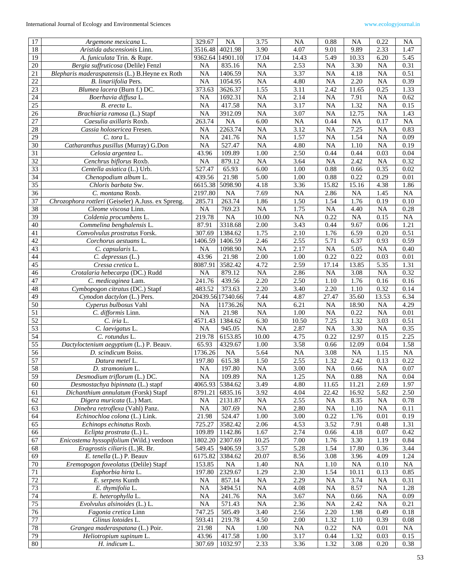| 17                    | Argemone mexicana L.                               | 329.67          | <b>NA</b>          | 3.75                    | NA                | 0.88                    | <b>NA</b>                 | 0.22                    | <b>NA</b>         |
|-----------------------|----------------------------------------------------|-----------------|--------------------|-------------------------|-------------------|-------------------------|---------------------------|-------------------------|-------------------|
| 18                    | Aristida adscensionis Linn.                        | 3516.48         | 4021.98            | 3.90                    | 4.07              | 9.01                    | 9.89                      | 2.33                    | 1.47              |
| $\overline{19}$       | A. funiculata Trin. & Rupr.                        |                 | 9362.64 14901.10   | 17.04                   | 14.43             | 5.49                    | 10.33                     | 6.20                    | $\overline{5.45}$ |
| 20                    | Bergia suffruticosa (Delile) Fenzl                 | <b>NA</b>       | 835.16             | <b>NA</b>               | 2.53              | NA                      | 3.30                      | <b>NA</b>               | 0.31              |
| $21\,$                | Blepharis maderaspatensis (L.) B.Heyne ex Roth     | <b>NA</b>       | 1406.59            | <b>NA</b>               | 3.37              | <b>NA</b>               | 4.18                      | <b>NA</b>               | 0.51              |
| 22                    | B. linariifolia Pers.                              | NA              | 1054.95            | <b>NA</b>               | 4.80              | <b>NA</b>               | 2.20                      | <b>NA</b>               | 0.39              |
| 23                    | Blumea lacera (Burn f.) DC.                        | 373.63          | 3626.37            | 1.55                    | 3.11              | 2.42                    | 11.65                     | 0.25                    | 1.33              |
| 24                    | Boerhavia diffusa L.                               | <b>NA</b>       | 1692.31            | <b>NA</b>               | 2.14              | <b>NA</b>               | 7.91                      | <b>NA</b>               | 0.62              |
| 25                    | B. erecta L.                                       | NA              | 417.58             | <b>NA</b>               | 3.17              | <b>NA</b>               | 1.32                      | <b>NA</b>               | 0.15              |
| $26\,$                | Brachiaria ramosa (L.) Stapf                       | NA              | 3912.09            | NA                      | 3.07              | <b>NA</b>               | 12.75                     | <b>NA</b>               | 1.43              |
| $\overline{27}$       | Caesulia axillaris Roxb.                           | 263.74          | <b>NA</b>          | 6.00                    | NA                | 0.44                    | $\overline{NA}$           | 0.17                    | $\overline{NA}$   |
| 28                    | Cassia holosericea Fresen.                         | <b>NA</b>       | 2263.74            | <b>NA</b>               | 3.12              | <b>NA</b>               | 7.25                      | <b>NA</b>               | 0.83              |
| 29                    | C. tora L.                                         | <b>NA</b>       | 241.76             | <b>NA</b>               | 1.57              | <b>NA</b>               | 1.54                      | <b>NA</b>               | 0.09              |
| $\overline{30}$       | Catharanthus pusillus (Murray) G.Don               | $\overline{NA}$ | 527.47             | <b>NA</b>               | 4.80              | $\overline{NA}$         | 1.10                      | $\overline{NA}$         | 0.19              |
| 31                    | Celosia argentea L.                                | 43.96           | 109.89             | 1.00                    | 2.50              | 0.44                    | 0.44                      | 0.03                    | 0.04              |
| $\overline{32}$       | Cenchrus biflorus Roxb.                            | $\overline{NA}$ | 879.12             | $\overline{NA}$         | 3.64              | NA                      | 2.42                      | $\overline{NA}$         | 0.32              |
| $\overline{33}$       | Centella asiatica (L.) Urb.                        | 527.47          | 65.93              | 6.00                    | 1.00              | 0.88                    | 0.66                      | 0.35                    | 0.02              |
| 34                    | Chenopodium album L.                               | 439.56          | 21.98              | 5.00                    | 1.00              | 0.88                    | 0.22                      | 0.29                    | 0.01              |
| $\overline{35}$       | Chloris barbata Sw.                                | 6615.38         | 5098.90            | 4.18                    | 3.36              | 15.82                   | 15.16                     | 4.38                    | 1.86              |
| 36                    | C. montana Roxb.                                   | 2197.80         | <b>NA</b>          | 7.69                    | $\rm NA$          | 2.86                    | <b>NA</b>                 | 1.45                    | NA                |
| 37                    | Chrozophora rottleri (Geiseler) A.Juss. ex Spreng. | 285.71          | 263.74             | 1.86                    | 1.50              | 1.54                    | 1.76                      | 0.19                    | $0.10\,$          |
| 38                    | Cleome viscosa Linn.                               | <b>NA</b>       | 769.23             | <b>NA</b>               | 1.75              | <b>NA</b>               | 4.40                      | <b>NA</b>               | 0.28              |
| 39                    | Coldenia procumbens L.                             | 219.78          | NA                 | 10.00                   | <b>NA</b>         | 0.22                    | <b>NA</b>                 | 0.15                    | <b>NA</b>         |
| 40                    | $\overline{\text{Commelina}}$ benghalensis L.      | 87.91           | 3318.68            | 2.00                    | 3.43              | 0.44                    | 9.67                      | 0.06                    | 1.21              |
| 41                    | Convolvulus prostratus Forsk.                      | 307.69          | 1384.62            | 1.75                    | 2.10              | 1.76                    | 6.59                      | 0.20                    | 0.51              |
|                       |                                                    |                 |                    |                         |                   |                         |                           |                         |                   |
| 42<br>$\overline{43}$ | Corchorus aestuans L.<br>C. capsularis L.          | 1406.59<br>NA   | 1406.59<br>1098.90 | 2.46<br>$\overline{NA}$ | 2.55<br>2.17      | 5.71<br>$\overline{NA}$ | 6.37<br>$\overline{5.05}$ | 0.93<br>$\overline{NA}$ | 0.59<br>0.40      |
|                       |                                                    |                 |                    |                         |                   |                         |                           |                         |                   |
| 44                    | C. depressus (L.)                                  | 43.96           | 21.98              | 2.00                    | 1.00              | 0.22                    | 0.22                      | 0.03                    | 0.01              |
| 45                    | Cressa cretica L.                                  | 8087.91         | 3582.42            | 4.72                    | 2.59              | 17.14                   | 13.85                     | 5.35                    | 1.31              |
| 46                    | Crotalaria hebecarpa (DC.) Rudd                    | <b>NA</b>       | 879.12             | <b>NA</b>               | 2.86              | <b>NA</b>               | 3.08                      | $\overline{NA}$         | 0.32              |
| 47                    | C. medicaginea Lam.                                | 241.76          | 439.56             | 2.20                    | 2.50              | 1.10                    | 1.76                      | 0.16                    | 0.16              |
| 48                    | Cymbopogon citratus (DC.) Stapf                    | 483.52          | 373.63             | 2.20                    | 3.40              | 2.20                    | 1.10                      | 0.32                    | 0.14              |
| 49                    | Cynodon dactylon (L.) Pers.                        |                 | 20439.56 17340.66  | 7.44                    | 4.87              | 27.47                   | 35.60                     | 13.53                   | 6.34              |
| 50                    | Cyperus bulbosus Vahl                              | <b>NA</b>       | 11736.26           | <b>NA</b>               | 6.21              | <b>NA</b>               | 18.90                     | <b>NA</b>               | 4.29              |
| 51                    | C. difformis Linn.                                 | <b>NA</b>       | 21.98              | <b>NA</b>               | $1.00\,$          | <b>NA</b>               | 0.22                      | <b>NA</b>               | 0.01              |
| 52                    | C. iria L.                                         | 4571.43         | 1384.62            | 6.30                    | 10.50             | 7.25                    | 1.32                      | 3.03                    | 0.51              |
| 53                    | C. laevigatus L.                                   | <b>NA</b>       | 945.05             | <b>NA</b>               | 2.87              | <b>NA</b>               | 3.30                      | <b>NA</b>               | 0.35              |
| 54                    | C. rotundus L.                                     | 219.78          | 6153.85            | 10.00                   | 4.75              | 0.22                    | 12.97                     | 0.15                    | 2.25              |
| 55                    | Dactyloctenium aegyptium (L.) P. Beauv.            | 65.93           | 4329.67            | 1.00                    | 3.58              | 0.66                    | 12.09                     | 0.04                    | 1.58              |
| 56                    | D. scindicum Boiss.                                | 1736.26         | NA                 | 5.64                    | NA                | 3.08                    | NA                        | 1.15                    | <b>NA</b>         |
| $\overline{57}$       | Datura metel L.                                    | 197.80          | 615.38             | 1.50                    | 2.55              | 1.32                    | 2.42                      | 0.13                    | 0.22              |
| 58                    | D. stramonium L.                                   | $\rm NA$        | 197.80             | NA                      | $\overline{3.00}$ | <b>NA</b>               | 0.66                      | <b>NA</b>               | 0.07              |
| 59                    | Desmodium triflorum (L.) DC.                       | <b>NA</b>       | 109.89             | <b>NA</b>               | 1.25              | <b>NA</b>               | 0.88                      | <b>NA</b>               | 0.04              |
| 60                    | Desmostachya bipinnata (L.) stapf                  | 4065.93         | 5384.62            | 3.49                    | 4.80              | 11.65                   | 11.21                     | 2.69                    | 1.97              |
| 61                    | Dichanthium annulatum (Forsk) Stapf                | 8791.21         | 6835.16            | 3.92                    | 4.04              | 22.42                   | 16.92                     | 5.82                    | 2.50              |
| 62                    | Digera muricata (L.) Mart.                         | <b>NA</b>       | 2131.87            | <b>NA</b>               | 2.55              | <b>NA</b>               | 8.35                      | NA                      | 0.78              |
| 63                    | Dinebra retroflexa (Vahl) Panz.                    | NA              | 307.69             | <b>NA</b>               | 2.80              | NA                      | 1.10                      | <b>NA</b>               | 0.11              |
| 64                    | Echinochloa colona (L.) Link.                      | 21.98           | 524.47             | 1.00                    | 3.00              | 0.22                    | 1.76                      | 0.01                    | 0.19              |
| 65                    | Echinops echinatus Roxb.                           | 725.27          | 3582.42            | 2.06                    | 4.53              | 3.52                    | 7.91                      | 0.48                    | 1.31              |
| 66                    | Eclipta prostrata (L.) L.                          | 109.89          | 1142.86            | 1.67                    | 2.74              | 0.66                    | 4.18                      | 0.07                    | 0.42              |
| 67                    | Enicostema hyssopifolium (Wild.) verdoon           | 1802.20         | 2307.69            | 10.25                   | 7.00              | 1.76                    | 3.30                      | 1.19                    | 0.84              |
| 68                    | Eragrostis ciliaris (L.)R. Br.                     | 549.45          | 9406.59            | 3.57                    | 5.28              | 1.54                    | 17.80                     | 0.36                    | 3.44              |
| 69                    | E. tenella (L.) P. Beauv                           | 6175.82         | 3384.62            | 20.07                   | 8.56              | 3.08                    | 3.96                      | 4.09                    | 1.24              |
| 70                    | Eremopogon foveolatus (Delile) Stapf               | 153.85          | <b>NA</b>          | 1.40                    | <b>NA</b>         | 1.10                    | NA                        | 0.10                    | <b>NA</b>         |
| $71\,$                | Euphorbia hirta L.                                 | 197.80          | 2329.67            | 1.29                    | 2.30              | 1.54                    | 10.11                     | 0.13                    | 0.85              |
| 72                    | E. serpens Kunth                                   | <b>NA</b>       | 857.14             | <b>NA</b>               | 2.29              | NA                      | 3.74                      | <b>NA</b>               | 0.31              |
| 73                    | E. thymifolia L.                                   | NA              | 3494.51            | <b>NA</b>               | 4.08              | NA                      | 8.57                      | <b>NA</b>               | 1.28              |
| 74                    | E. heterophylla L.                                 | NA              | 241.76             | $\rm NA$                | 3.67              | <b>NA</b>               | 0.66                      | NA                      | 0.09              |
| $\overline{75}$       | Evolvulus alsinoides (L.) L.                       | $\rm NA$        | 571.43             | NA                      | 2.36              | <b>NA</b>               | 2.42                      | NA                      | 0.21              |
| 76                    | Fagonia cretica Linn                               | 747.25          | 505.49             | 3.40                    | 2.56              | 2.20                    | 1.98                      | 0.49                    | $0.18\,$          |
| 77                    | Glinus lotoides L.                                 | 593.41          | 219.78             | 4.50                    | 2.00              | 1.32                    | 1.10                      | 0.39                    | 0.08              |
| 78                    | Grangea maderaspatana (L.) Poir.                   | 21.98           | NA                 | 1.00                    | $\rm NA$          | 0.22                    | NA                        | 0.01                    | <b>NA</b>         |
| 79                    | Heliotropium supinum L.                            | 43.96           | 417.58             | 1.00                    | 3.17              | 0.44                    | 1.32                      | 0.03                    | 0.15              |
| $80\,$                | H. indicum L.                                      | 307.69          | 1032.97            | 2.33                    | 3.36              | 1.32                    | 3.08                      | 0.20                    | 0.38              |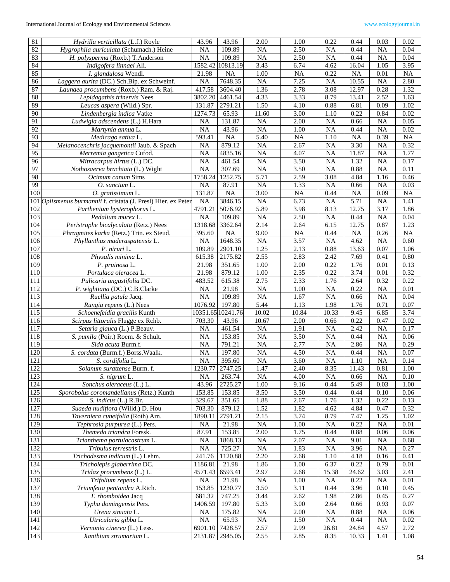| 81              | Hydrilla verticillata (L.f.) Royle                         | 43.96           | 43.96     | 2.00            | 1.00              | 0.22            | 0.44      | 0.03            | 0.02      |
|-----------------|------------------------------------------------------------|-----------------|-----------|-----------------|-------------------|-----------------|-----------|-----------------|-----------|
| 82              | Hygrophila auriculata (Schumach.) Heine                    | <b>NA</b>       | 109.89    | <b>NA</b>       | 2.50              | <b>NA</b>       | 0.44      | <b>NA</b>       | 0.04      |
| 83              | H. polysperma (Roxb.) T.Anderson                           | $\overline{NA}$ | 109.89    | $\overline{NA}$ | 2.50              | $\overline{NA}$ | 0.44      | <b>NA</b>       | 0.04      |
| 84              | Indigofera linnaei Ali.                                    | 1582.42         | 10813.19  | 3.43            | 6.74              | 4.62            | 16.04     | 1.05            | 3.95      |
| 85              | I. glandulosa Wendl.                                       | 21.98           | <b>NA</b> | 1.00            | NA                | 0.22            | <b>NA</b> | 0.01            | <b>NA</b> |
| 86              | Laggera aurita (DC.) Sch.Bip. ex Schweinf.                 | NA              | 7648.35   | <b>NA</b>       | 7.25              | <b>NA</b>       | 10.55     | <b>NA</b>       | 2.80      |
| 87              | Launaea procumbens (Roxb.) Ram. & Raj.                     | 417.58          | 3604.40   | 1.36            | 2.78              | 3.08            | 12.97     | 0.28            | 1.32      |
| 88              | Lepidagathis trinervis Nees                                | 3802.20         | 4461.54   | 4.33            | 3.33              | 8.79            | 13.41     | 2.52            | 1.63      |
| 89              | Leucas aspera (Wild.) Spr.                                 | 131.87          | 2791.21   | 1.50            | 4.10              | 0.88            | 6.81      | 0.09            | 1.02      |
| 90              | Lindenbergia indica Vatke                                  | 1274.73         | 65.93     | 11.60           | 3.00              | 1.10            | 0.22      | 0.84            | 0.02      |
| 91              | Ludwigia adscendens (L.) H.Hara                            | <b>NA</b>       | 131.87    | <b>NA</b>       | 2.00              | <b>NA</b>       | 0.66      | <b>NA</b>       | 0.05      |
| $\overline{92}$ | Martynia annua L.                                          | <b>NA</b>       | 43.96     | <b>NA</b>       | 1.00              | NA              | 0.44      | $\overline{NA}$ | 0.02      |
| 93              | Medicago sativa L.                                         | 593.41          | <b>NA</b> | 5.40            | <b>NA</b>         | 1.10            | <b>NA</b> | 0.39            | NA        |
| 94              | Melanocenchris jacquemontii Jaub. & Spach                  | <b>NA</b>       | 879.12    | <b>NA</b>       | 2.67              | NA              | 3.30      | <b>NA</b>       | 0.32      |
| 95              | Merremia gangetica Cufod.                                  | <b>NA</b>       | 4835.16   | <b>NA</b>       | 4.07              | <b>NA</b>       | 11.87     | <b>NA</b>       | 1.77      |
| $\overline{96}$ | Mitracarpus hirtus (L.) DC.                                | $\overline{NA}$ | 461.54    | $\overline{NA}$ | 3.50              | $\overline{NA}$ | 1.32      | $\overline{NA}$ | 0.17      |
| 97              | Nothosaerva brachiata (L.) Wight                           | <b>NA</b>       | 307.69    | <b>NA</b>       | 3.50              | <b>NA</b>       | 0.88      | <b>NA</b>       | 0.11      |
| 98              | <i>Ocimum canum Sims</i>                                   | 1758.24         | 1252.75   | 5.71            | 2.59              | 3.08            | 4.84      | 1.16            | 0.46      |
| 99              | O. sanctum L.                                              | <b>NA</b>       | 87.91     | <b>NA</b>       | 1.33              | NA              | 0.66      | <b>NA</b>       | 0.03      |
| 100             | O. gratissimum L.                                          | 131.87          | <b>NA</b> | 3.00            | <b>NA</b>         | 0.44            | <b>NA</b> | 0.09            | <b>NA</b> |
| 101             | Oplismenus burmannii f. cristata (J. Presl) Hier. ex Peter | <b>NA</b>       | 3846.15   | <b>NA</b>       | 6.73              | NA              | 5.71      | <b>NA</b>       | 1.41      |
| 102             | Parthenium hysterophorus L.                                | 4791.21         | 5076.92   | 5.89            | 3.98              | 8.13            | 12.75     | 3.17            | 1.86      |
| 103             | Pedalium murex L.                                          | <b>NA</b>       | 109.89    | <b>NA</b>       | 2.50              | NA              | 0.44      | <b>NA</b>       | 0.04      |
| 104             | Peristrophe bicalyculata (Retz.) Nees                      | 1318.68         | 3362.64   | 2.14            | 2.64              | 6.15            | 12.75     | 0.87            | 1.23      |
| 105             | Phragmites karka (Retz.) Trin. ex Steud.                   | 395.60          | <b>NA</b> | 9.00            | $\rm NA$          | 0.44            | NA        | 0.26            | NA        |
| 106             | Phyllanthus maderaspatensis L.                             | <b>NA</b>       | 1648.35   | <b>NA</b>       | 3.57              | <b>NA</b>       | 4.62      | <b>NA</b>       | 0.60      |
| 107             | P. niruri L.                                               | 109.89          | 2901.10   | 1.25            | 2.13              | 0.88            | 13.63     | 0.07            | 1.06      |
| 108             | Physalis minima L.                                         | 615.38          | 2175.82   | 2.55            | 2.83              | 2.42            | 7.69      | 0.41            | 0.80      |
| 109             | P. pruinosa L.                                             | 21.98           | 351.65    | 1.00            | 2.00              | 0.22            | 1.76      | 0.01            | 0.13      |
| 110             | Portulaca oleracea L.                                      | 21.98           | 879.12    | 1.00            | 2.35              | 0.22            | 3.74      | 0.01            | 0.32      |
| 111             | Pulicaria angustifolia DC.                                 | 483.52          | 615.38    | 2.75            | 2.33              | 1.76            | 2.64      | 0.32            | 0.22      |
| 112             | P. wightiana (DC.) C.B.Clarke                              | <b>NA</b>       | 21.98     | <b>NA</b>       | 1.00              | NA              | 0.22      | <b>NA</b>       | 0.01      |
| 113             | Ruellia patula Jacq.                                       | <b>NA</b>       | 109.89    | <b>NA</b>       | 1.67              | NA              | 0.66      | $\overline{NA}$ | 0.04      |
| 114             | Rungia repens (L.) Nees                                    | 1076.92         | 197.80    | 5.44            | 1.13              | 1.98            | 1.76      | 0.71            | 0.07      |
| 115             | Schoenefeldia gracilis Kunth                               | 10351.65        | 10241.76  | 10.02           | 10.84             | 10.33           | 9.45      | 6.85            | 3.74      |
| 116             | Scirpus littoralis Flugge ex Rchb.                         | 703.30          | 43.96     | 10.67           | 2.00              | 0.66            | 0.22      | 0.47            | 0.02      |
| 117             | Setaria glauca (L.) P.Beauv.                               | <b>NA</b>       | 461.54    | <b>NA</b>       | 1.91              | <b>NA</b>       | 2.42      | <b>NA</b>       | 0.17      |
| 118             | S. pumila (Poir.) Roem. & Schult.                          | NA              | 153.85    | <b>NA</b>       | 3.50              | NA              | 0.44      | <b>NA</b>       | 0.06      |
| 119             | Sida acuta Burm.f.                                         | <b>NA</b>       | 791.21    | <b>NA</b>       | 2.77              | <b>NA</b>       | 2.86      | <b>NA</b>       | 0.29      |
| 120             | S. cordata (Burm.f.) Borss. Waalk.                         | <b>NA</b>       | 197.80    | <b>NA</b>       | 4.50              | <b>NA</b>       | 0.44      | <b>NA</b>       | 0.07      |
| 121             | S. cordifolia L.                                           | <b>NA</b>       | 395.60    | <b>NA</b>       | 3.60              | NA              | 1.10      | <b>NA</b>       | 0.14      |
| 122             | Solanum surattense Burm. f.                                | 1230.77         | 2747.25   | 1.47            | $\overline{2.40}$ | 8.35            | 11.43     | 0.81            | 1.00      |
| 123             | S. nigrum L.                                               | <b>NA</b>       | 263.74    | <b>NA</b>       | 4.00              | <b>NA</b>       | 0.66      | <b>NA</b>       | 0.10      |
| 124             | Sonchus oleraceus (L.) L.                                  | 43.96           | 2725.27   | 1.00            | 9.16              | 0.44            | 5.49      | 0.03            | 1.00      |
| 125             | Sporobolus coromandelianus (Retz.) Kunth                   | 153.85          | 153.85    | 3.50            | 3.50              | 0.44            | 0.44      | 0.10            | 0.06      |
| 126             | S. indicus (L.) R.Br.                                      | 329.67          | 351.65    | 1.88            | 2.67              | 1.76            | 1.32      | 0.22            | 0.13      |
| 127             | Suaeda nudiflora (Willd.) D. Hou                           | 703.30          | 879.12    | 1.52            | 1.82              | 4.62            | 4.84      | 0.47            | 0.32      |
| 128             | Taverniera cuneifolia (Roth) Arn.                          | 1890.11         | 2791.21   | 2.15            | 3.74              | 8.79            | 7.47      | 1.25            | 1.02      |
| 129             | Tephrosia purpurea (L.) Pers.                              | <b>NA</b>       | 21.98     | <b>NA</b>       | 1.00              | NA              | 0.22      | <b>NA</b>       | 0.01      |
| 130             | Themeda triandra Forssk.                                   | 87.91           | 153.85    | 2.00            | 1.75              | 0.44            | 0.88      | 0.06            | 0.06      |
| 131             | Trianthema portulacastrum L.                               | NA              | 1868.13   | <b>NA</b>       | 2.07              | <b>NA</b>       | 9.01      | <b>NA</b>       | 0.68      |
| 132             | Tribulus terrestris L.                                     | <b>NA</b>       | 725.27    | <b>NA</b>       | 1.83              | <b>NA</b>       | 3.96      | <b>NA</b>       | 0.27      |
| 133             | Trichodesma indicum (L.) Lehm.                             | 241.76          | 1120.88   | 2.20            | 2.68              | 1.10            | 4.18      | 0.16            | 0.41      |
| 134             | Tricholepis glaberrima DC.                                 | 1186.81         | 21.98     | 1.86            | 1.00              | 6.37            | 0.22      | 0.79            | 0.01      |
| 135             | Tridax procumbens (L.) L.                                  | 4571.43         | 6593.41   | 2.97            | 2.68              | 15.38           | 24.62     | 3.03            | 2.41      |
| 136             | Trifolium repens L.                                        | <b>NA</b>       | 21.98     | <b>NA</b>       | 1.00              | <b>NA</b>       | 0.22      | <b>NA</b>       | 0.01      |
| 137             | Triumfetta pentandra A.Rich.                               | 153.85          | 1230.77   | 3.50            | 3.11              | 0.44            | 3.96      | 0.10            | 0.45      |
| 138             | T. rhomboidea Jacq                                         | 681.32          | 747.25    | 3.44            | 2.62              | 1.98            | 2.86      | 0.45            | 0.27      |
| 139             | Typha domingensis Pers.                                    | 1406.59         | 197.80    | 5.33            | 3.00              | 2.64            | 0.66      | 0.93            | 0.07      |
| 140             | Urena sinuata L.                                           | <b>NA</b>       | 175.82    | <b>NA</b>       | 2.00              | <b>NA</b>       | 0.88      | <b>NA</b>       | 0.06      |
| 141             | Utricularia gibba L.                                       | NA              | 65.93     | <b>NA</b>       | 1.50              | NA              | 0.44      | <b>NA</b>       | 0.02      |
| 142             | Vernonia cinerea (L.) Less.                                | 6901.10         | 7428.57   | 2.57            | 2.99              | 26.81           | 24.84     | 4.57            | 2.72      |
| 143             | Xanthium strumarium L.                                     | 2131.87         | 2945.05   | 2.55            | 2.85              | 8.35            | 10.33     | 1.41            | 1.08      |